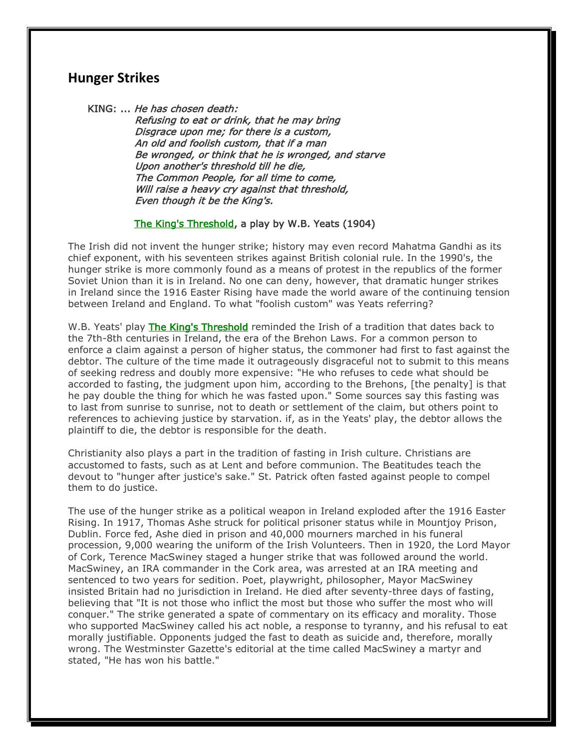## **Hunger Strikes**

KING: ... He has chosen death:

 Refusing to eat or drink, that he may bring Disgrace upon me; for there is a custom, An old and foolish custom, that if a man Be wronged, or think that he is wronged, and starve Upon another's threshold till he die, The Common People, for all time to come, Will raise a heavy cry against that threshold, Even though it be the King's.

## The King's Threshold, a play by W.B. Yeats (1904)

The Irish did not invent the hunger strike; history may even record Mahatma Gandhi as its chief exponent, with his seventeen strikes against British colonial rule. In the 1990's, the hunger strike is more commonly found as a means of protest in the republics of the former Soviet Union than it is in Ireland. No one can deny, however, that dramatic hunger strikes in Ireland since the 1916 Easter Rising have made the world aware of the continuing tension between Ireland and England. To what "foolish custom" was Yeats referring?

W.B. Yeats' play The King's Threshold reminded the Irish of a tradition that dates back to the 7th-8th centuries in Ireland, the era of the Brehon Laws. For a common person to enforce a claim against a person of higher status, the commoner had first to fast against the debtor. The culture of the time made it outrageously disgraceful not to submit to this means of seeking redress and doubly more expensive: "He who refuses to cede what should be accorded to fasting, the judgment upon him, according to the Brehons, [the penalty] is that he pay double the thing for which he was fasted upon." Some sources say this fasting was to last from sunrise to sunrise, not to death or settlement of the claim, but others point to references to achieving justice by starvation. if, as in the Yeats' play, the debtor allows the plaintiff to die, the debtor is responsible for the death.

Christianity also plays a part in the tradition of fasting in Irish culture. Christians are accustomed to fasts, such as at Lent and before communion. The Beatitudes teach the devout to "hunger after justice's sake." St. Patrick often fasted against people to compel them to do justice.

The use of the hunger strike as a political weapon in Ireland exploded after the 1916 Easter Rising. In 1917, Thomas Ashe struck for political prisoner status while in Mountjoy Prison, Dublin. Force fed, Ashe died in prison and 40,000 mourners marched in his funeral procession, 9,000 wearing the uniform of the Irish Volunteers. Then in 1920, the Lord Mayor of Cork, Terence MacSwiney staged a hunger strike that was followed around the world. MacSwiney, an IRA commander in the Cork area, was arrested at an IRA meeting and sentenced to two years for sedition. Poet, playwright, philosopher, Mayor MacSwiney insisted Britain had no jurisdiction in Ireland. He died after seventy-three days of fasting, believing that "It is not those who inflict the most but those who suffer the most who will conquer." The strike generated a spate of commentary on its efficacy and morality. Those who supported MacSwiney called his act noble, a response to tyranny, and his refusal to eat morally justifiable. Opponents judged the fast to death as suicide and, therefore, morally wrong. The Westminster Gazette's editorial at the time called MacSwiney a martyr and stated, "He has won his battle."